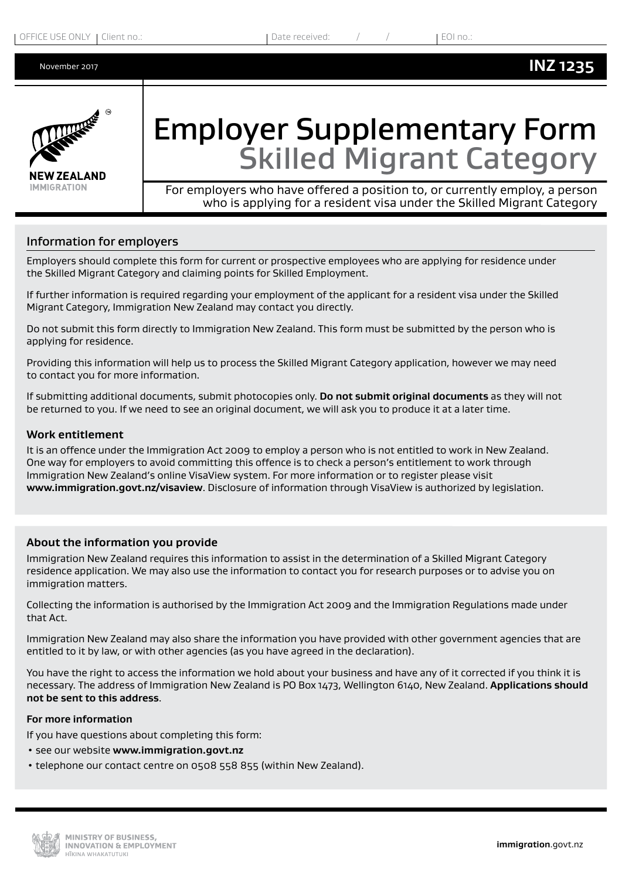

# Employer Supplementary Form Skilled Migrant Category

For employers who have offered a position to, or currently employ, a person who is applying for a resident visa under the Skilled Migrant Category

### Information for employers

Employers should complete this form for current or prospective employees who are applying for residence under the Skilled Migrant Category and claiming points for Skilled Employment.

If further information is required regarding your employment of the applicant for a resident visa under the Skilled Migrant Category, Immigration New Zealand may contact you directly.

Do not submit this form directly to Immigration New Zealand. This form must be submitted by the person who is applying for residence.

Providing this information will help us to process the Skilled Migrant Category application, however we may need to contact you for more information.

If submitting additional documents, submit photocopies only. **Do not submit original documents** as they will not be returned to you. If we need to see an original document, we will ask you to produce it at a later time.

#### **Work entitlement**

It is an offence under the Immigration Act 2009 to employ a person who is not entitled to work in New Zealand. One way for employers to avoid committing this offence is to check a person's entitlement to work through Immigration New Zealand's online VisaView system. For more information or to register please visit **www.immigration.govt.nz/visaview**. Disclosure of information through VisaView is authorized by legislation.

#### **About the information you provide**

Immigration New Zealand requires this information to assist in the determination of a Skilled Migrant Category residence application. We may also use the information to contact you for research purposes or to advise you on immigration matters.

Collecting the information is authorised by the Immigration Act 2009 and the Immigration Regulations made under that Act.

Immigration New Zealand may also share the information you have provided with other government agencies that are entitled to it by law, or with other agencies (as you have agreed in the declaration).

You have the right to access the information we hold about your business and have any of it corrected if you think it is necessary. The address of Immigration New Zealand is PO Box 1473, Wellington 6140, New Zealand. **Applications should not be sent to this address**.

#### **For more information**

If you have questions about completing this form:

- see our website **www.immigration.govt.nz**
- telephone our contact centre on 0508 558 855 (within New Zealand).

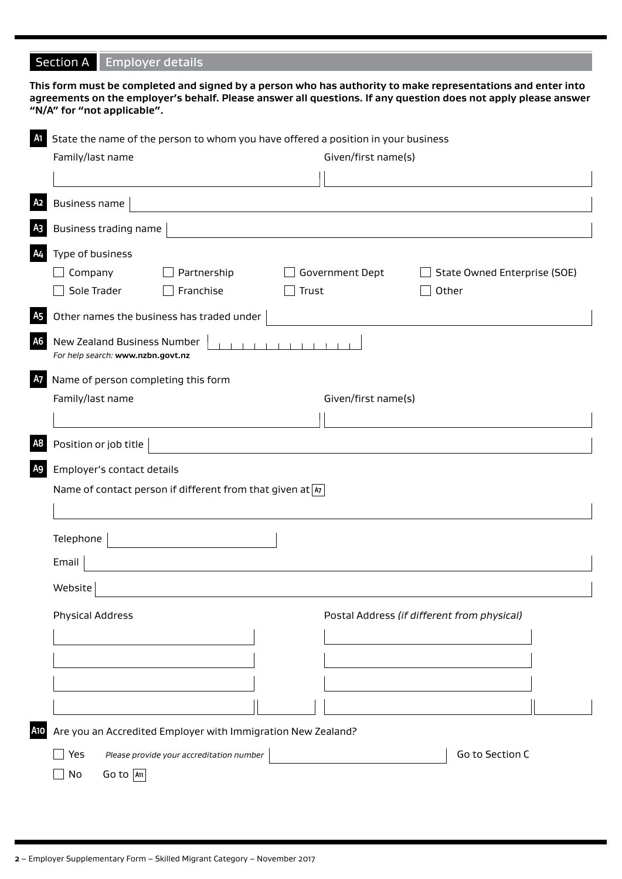# Section A Employer details

|                                                                                      | This form must be completed and signed by a person who has authority to make representations and enter into<br>agreements on the employer's behalf. Please answer all questions. If any question does not apply please answer<br>"N/A" for "not applicable". |  |  |  |  |
|--------------------------------------------------------------------------------------|--------------------------------------------------------------------------------------------------------------------------------------------------------------------------------------------------------------------------------------------------------------|--|--|--|--|
| Al State the name of the person to whom you have offered a position in your business |                                                                                                                                                                                                                                                              |  |  |  |  |
|                                                                                      | Family/last name<br>Given/first name(s)                                                                                                                                                                                                                      |  |  |  |  |
|                                                                                      |                                                                                                                                                                                                                                                              |  |  |  |  |
| A <sub>2</sub>                                                                       | <b>Business name</b>                                                                                                                                                                                                                                         |  |  |  |  |
| A <sub>3</sub>                                                                       | Business trading name                                                                                                                                                                                                                                        |  |  |  |  |
| <b>A4</b>                                                                            | Type of business                                                                                                                                                                                                                                             |  |  |  |  |
|                                                                                      | Government Dept<br>Company<br>Partnership<br>State Owned Enterprise (SOE)                                                                                                                                                                                    |  |  |  |  |
|                                                                                      | Sole Trader<br>Franchise<br>Trust<br>Other                                                                                                                                                                                                                   |  |  |  |  |
| A <sub>5</sub>                                                                       | Other names the business has traded under                                                                                                                                                                                                                    |  |  |  |  |
| A <sub>6</sub>                                                                       | New Zealand Business Number<br>For help search: www.nzbn.govt.nz                                                                                                                                                                                             |  |  |  |  |
| A <sub>7</sub>                                                                       | Name of person completing this form<br>Family/last name<br>Given/first name(s)                                                                                                                                                                               |  |  |  |  |
| A <sub>8</sub>                                                                       | Position or job title                                                                                                                                                                                                                                        |  |  |  |  |
| A <sub>9</sub>                                                                       | Employer's contact details                                                                                                                                                                                                                                   |  |  |  |  |
|                                                                                      | Name of contact person if different from that given at $ x $                                                                                                                                                                                                 |  |  |  |  |
|                                                                                      |                                                                                                                                                                                                                                                              |  |  |  |  |
|                                                                                      | Telephone                                                                                                                                                                                                                                                    |  |  |  |  |
|                                                                                      | Email                                                                                                                                                                                                                                                        |  |  |  |  |
|                                                                                      |                                                                                                                                                                                                                                                              |  |  |  |  |
|                                                                                      | Website                                                                                                                                                                                                                                                      |  |  |  |  |
| <b>Physical Address</b><br>Postal Address (if different from physical)               |                                                                                                                                                                                                                                                              |  |  |  |  |
|                                                                                      |                                                                                                                                                                                                                                                              |  |  |  |  |
|                                                                                      |                                                                                                                                                                                                                                                              |  |  |  |  |
|                                                                                      |                                                                                                                                                                                                                                                              |  |  |  |  |
|                                                                                      |                                                                                                                                                                                                                                                              |  |  |  |  |
|                                                                                      |                                                                                                                                                                                                                                                              |  |  |  |  |
| <b>A10</b>                                                                           | Are you an Accredited Employer with Immigration New Zealand?                                                                                                                                                                                                 |  |  |  |  |
|                                                                                      | Go to Section C<br>Yes<br>Please provide your accreditation number                                                                                                                                                                                           |  |  |  |  |
|                                                                                      | Go to $ \mathbf{A}\mathbf{n} $<br>No                                                                                                                                                                                                                         |  |  |  |  |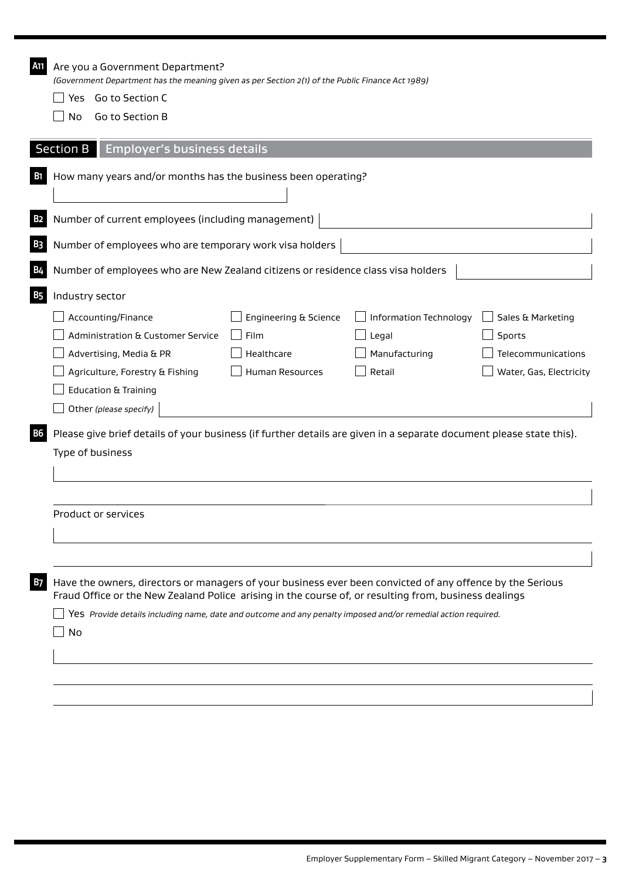| A11        | Are you a Government Department?<br>(Government Department has the meaning given as per Section 2(1) of the Public Finance Act 1989)                                                                                                                                                                                                |  |  |  |  |  |
|------------|-------------------------------------------------------------------------------------------------------------------------------------------------------------------------------------------------------------------------------------------------------------------------------------------------------------------------------------|--|--|--|--|--|
|            | Go to Section C<br>Yes                                                                                                                                                                                                                                                                                                              |  |  |  |  |  |
|            | Go to Section B<br>No                                                                                                                                                                                                                                                                                                               |  |  |  |  |  |
|            |                                                                                                                                                                                                                                                                                                                                     |  |  |  |  |  |
|            | <b>Section B</b><br><b>Employer's business details</b>                                                                                                                                                                                                                                                                              |  |  |  |  |  |
| <b>B</b> 1 | How many years and/or months has the business been operating?                                                                                                                                                                                                                                                                       |  |  |  |  |  |
|            |                                                                                                                                                                                                                                                                                                                                     |  |  |  |  |  |
| B2         | Number of current employees (including management)                                                                                                                                                                                                                                                                                  |  |  |  |  |  |
| B3         | Number of employees who are temporary work visa holders                                                                                                                                                                                                                                                                             |  |  |  |  |  |
| B4         | Number of employees who are New Zealand citizens or residence class visa holders                                                                                                                                                                                                                                                    |  |  |  |  |  |
| <b>B5</b>  | Industry sector                                                                                                                                                                                                                                                                                                                     |  |  |  |  |  |
|            | Accounting/Finance<br>Engineering & Science<br>Information Technology<br>Sales & Marketing                                                                                                                                                                                                                                          |  |  |  |  |  |
|            | <b>Administration &amp; Customer Service</b><br>Sports<br>Film<br>Legal                                                                                                                                                                                                                                                             |  |  |  |  |  |
|            | Manufacturing<br>Telecommunications<br>Advertising, Media & PR<br>Healthcare                                                                                                                                                                                                                                                        |  |  |  |  |  |
|            | Agriculture, Forestry & Fishing<br><b>Human Resources</b><br>Retail<br>Water, Gas, Electricity                                                                                                                                                                                                                                      |  |  |  |  |  |
|            | <b>Education &amp; Training</b>                                                                                                                                                                                                                                                                                                     |  |  |  |  |  |
|            | Other (please specify)                                                                                                                                                                                                                                                                                                              |  |  |  |  |  |
| <b>B6</b>  | Please give brief details of your business (if further details are given in a separate document please state this).                                                                                                                                                                                                                 |  |  |  |  |  |
|            | Type of business                                                                                                                                                                                                                                                                                                                    |  |  |  |  |  |
|            |                                                                                                                                                                                                                                                                                                                                     |  |  |  |  |  |
|            |                                                                                                                                                                                                                                                                                                                                     |  |  |  |  |  |
|            | Product or services                                                                                                                                                                                                                                                                                                                 |  |  |  |  |  |
|            |                                                                                                                                                                                                                                                                                                                                     |  |  |  |  |  |
|            |                                                                                                                                                                                                                                                                                                                                     |  |  |  |  |  |
|            |                                                                                                                                                                                                                                                                                                                                     |  |  |  |  |  |
| B7         | Have the owners, directors or managers of your business ever been convicted of any offence by the Serious<br>Fraud Office or the New Zealand Police arising in the course of, or resulting from, business dealings<br>Yes Provide details including name, date and outcome and any penalty imposed and/or remedial action required. |  |  |  |  |  |
|            |                                                                                                                                                                                                                                                                                                                                     |  |  |  |  |  |
|            | No                                                                                                                                                                                                                                                                                                                                  |  |  |  |  |  |
|            |                                                                                                                                                                                                                                                                                                                                     |  |  |  |  |  |
|            |                                                                                                                                                                                                                                                                                                                                     |  |  |  |  |  |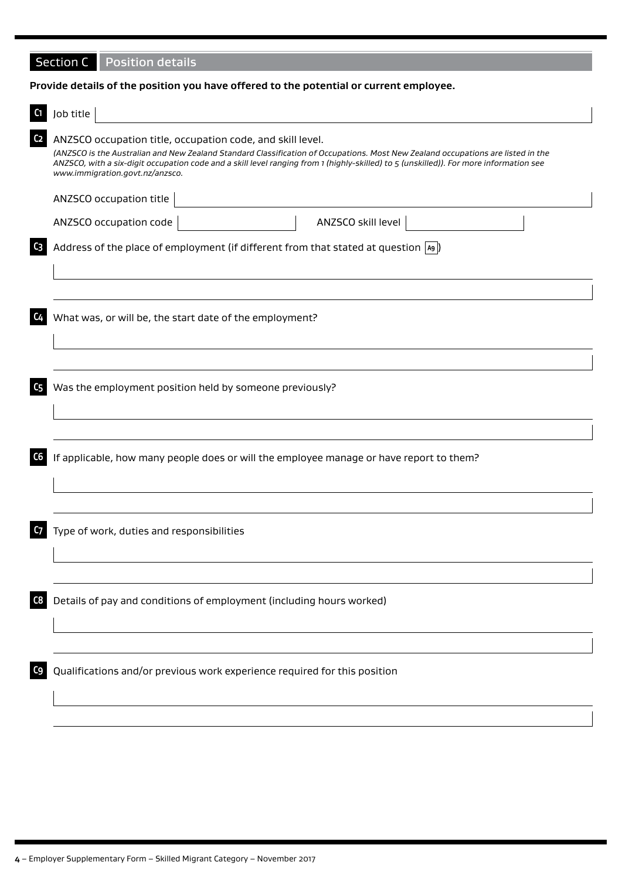## Section C Position details

#### **Provide details of the position you have offered to the potential or current employee.**

|                | Job title                                                                                                                                                                                                                                                                                                                                                                   |
|----------------|-----------------------------------------------------------------------------------------------------------------------------------------------------------------------------------------------------------------------------------------------------------------------------------------------------------------------------------------------------------------------------|
| C <sub>2</sub> | ANZSCO occupation title, occupation code, and skill level.<br>(ANZSCO is the Australian and New Zealand Standard Classification of Occupations. Most New Zealand occupations are listed in the<br>ANZSCO, with a six-digit occupation code and a skill level ranging from 1 (highly-skilled) to 5 (unskilled)). For more information see<br>www.immigration.govt.nz/anzsco. |
|                | ANZSCO occupation title                                                                                                                                                                                                                                                                                                                                                     |
|                | ANZSCO skill level<br>ANZSCO occupation code                                                                                                                                                                                                                                                                                                                                |
| C3             | Address of the place of employment (if different from that stated at question $\boxed{49}$ )                                                                                                                                                                                                                                                                                |
|                |                                                                                                                                                                                                                                                                                                                                                                             |
| C <sub>4</sub> | What was, or will be, the start date of the employment?                                                                                                                                                                                                                                                                                                                     |
|                |                                                                                                                                                                                                                                                                                                                                                                             |
| C5             | Was the employment position held by someone previously?                                                                                                                                                                                                                                                                                                                     |
| C6             | If applicable, how many people does or will the employee manage or have report to them?                                                                                                                                                                                                                                                                                     |
|                |                                                                                                                                                                                                                                                                                                                                                                             |
| C7             | Type of work, duties and responsibilities                                                                                                                                                                                                                                                                                                                                   |
|                |                                                                                                                                                                                                                                                                                                                                                                             |
| C8             | Details of pay and conditions of employment (including hours worked)                                                                                                                                                                                                                                                                                                        |
|                |                                                                                                                                                                                                                                                                                                                                                                             |
| C9             | Qualifications and/or previous work experience required for this position                                                                                                                                                                                                                                                                                                   |
|                |                                                                                                                                                                                                                                                                                                                                                                             |
|                |                                                                                                                                                                                                                                                                                                                                                                             |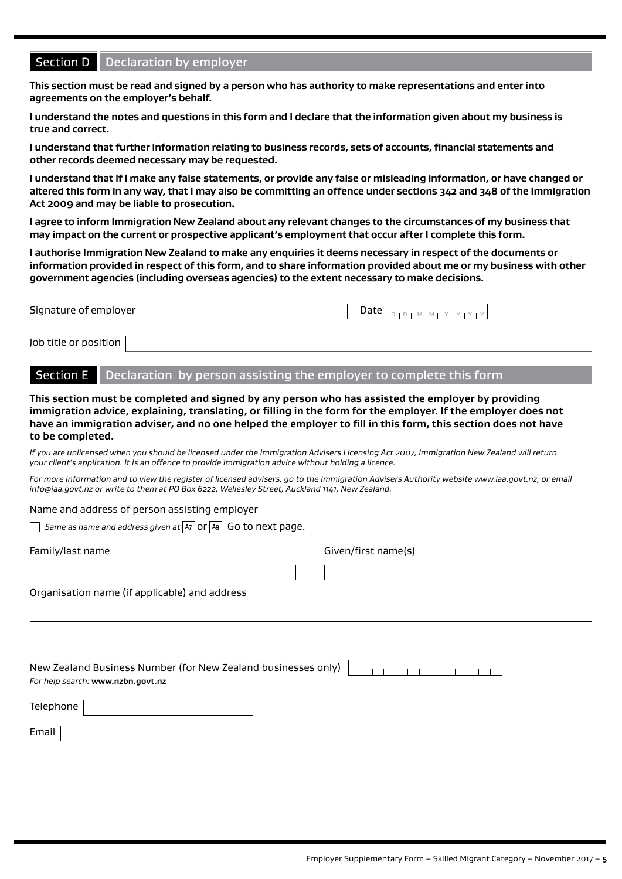### Section D | Declaration by employer

**This section must be read and signed by a person who has authority to make representations and enter into agreements on the employer's behalf.**

**I understand the notes and questions in this form and I declare that the information given about my business is true and correct.**

**I understand that further information relating to business records, sets of accounts, financial statements and other records deemed necessary may be requested.**

**I understand that if I make any false statements, or provide any false or misleading information, or have changed or altered this form in any way, that I may also be committing an offence under sections 342 and 348 of the Immigration Act 2009 and may be liable to prosecution.**

**I agree to inform Immigration New Zealand about any relevant changes to the circumstances of my business that may impact on the current or prospective applicant's employment that occur after I complete this form.**

**I authorise Immigration New Zealand to make any enquiries it deems necessary in respect of the documents or information provided in respect of this form, and to share information provided about me or my business with other government agencies (including overseas agencies) to the extent necessary to make decisions.**

| Signature of employer | Date $ _{\text{D}+}$ | ן צו צו צו צו או אווים די |
|-----------------------|----------------------|---------------------------|
| Job title or position |                      |                           |

Section E Declaration by person assisting the employer to complete this form

**This section must be completed and signed by any person who has assisted the employer by providing immigration advice, explaining, translating, or filling in the form for the employer. If the employer does not have an immigration adviser, and no one helped the employer to fill in this form, this section does not have to be completed.**

*If you are unlicensed when you should be licensed under the Immigration Advisers Licensing Act 2007, Immigration New Zealand will return your client's application. It is an offence to provide immigration advice without holding a licence.*

*For more information and to view the register of licensed advisers, go to the Immigration Advisers Authority website www.iaa.govt.nz, or email info@iaa.govt.nz or write to them at PO Box 6222, Wellesley Street, Auckland 1141, New Zealand.*

Name and address of person assisting employer

*Same as name and address given at* **A7** or **A9** Go to next page.

Family/last name Given/first name(s)

Organisation name (if applicable) and address

New Zealand Business Number (for New Zealand businesses only) *For help search:* **www.nzbn.govt.nz**  $\overline{\phantom{a}}$ Telephone |

| . <b>.</b>              |  |
|-------------------------|--|
|                         |  |
|                         |  |
| <b>Emab</b> il<br>Email |  |
|                         |  |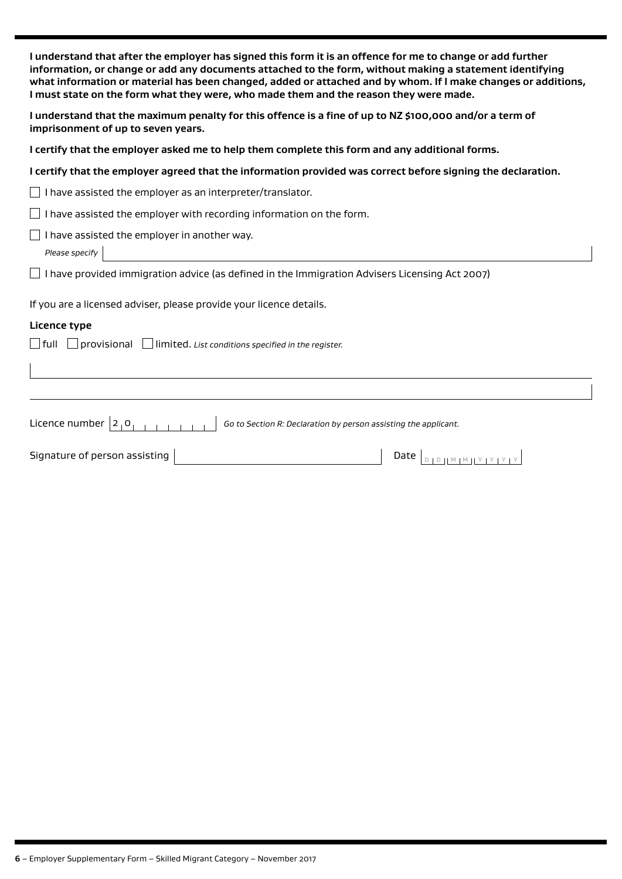| I understand that after the employer has signed this form it is an offence for me to change or add further<br>information, or change or add any documents attached to the form, without making a statement identifying<br>what information or material has been changed, added or attached and by whom. If I make changes or additions,<br>I must state on the form what they were, who made them and the reason they were made.<br>I understand that the maximum penalty for this offence is a fine of up to NZ \$100,000 and/or a term of<br>imprisonment of up to seven years. |  |  |  |
|-----------------------------------------------------------------------------------------------------------------------------------------------------------------------------------------------------------------------------------------------------------------------------------------------------------------------------------------------------------------------------------------------------------------------------------------------------------------------------------------------------------------------------------------------------------------------------------|--|--|--|
|                                                                                                                                                                                                                                                                                                                                                                                                                                                                                                                                                                                   |  |  |  |
| I certify that the employer agreed that the information provided was correct before signing the declaration.                                                                                                                                                                                                                                                                                                                                                                                                                                                                      |  |  |  |
| $\Box$ I have assisted the employer as an interpreter/translator.                                                                                                                                                                                                                                                                                                                                                                                                                                                                                                                 |  |  |  |
| $\Box$ I have assisted the employer with recording information on the form.                                                                                                                                                                                                                                                                                                                                                                                                                                                                                                       |  |  |  |
| I have assisted the employer in another way.<br>Please specify                                                                                                                                                                                                                                                                                                                                                                                                                                                                                                                    |  |  |  |
| I have provided immigration advice (as defined in the Immigration Advisers Licensing Act 2007)                                                                                                                                                                                                                                                                                                                                                                                                                                                                                    |  |  |  |
| If you are a licensed adviser, please provide your licence details.                                                                                                                                                                                                                                                                                                                                                                                                                                                                                                               |  |  |  |
| Licence type                                                                                                                                                                                                                                                                                                                                                                                                                                                                                                                                                                      |  |  |  |
| $\Box$ provisional $\Box$ limited. List conditions specified in the register.<br>  full                                                                                                                                                                                                                                                                                                                                                                                                                                                                                           |  |  |  |
|                                                                                                                                                                                                                                                                                                                                                                                                                                                                                                                                                                                   |  |  |  |
| Licence number $ 2, 0 $<br>Go to Section R: Declaration by person assisting the applicant.                                                                                                                                                                                                                                                                                                                                                                                                                                                                                        |  |  |  |
| Signature of person assisting                                                                                                                                                                                                                                                                                                                                                                                                                                                                                                                                                     |  |  |  |